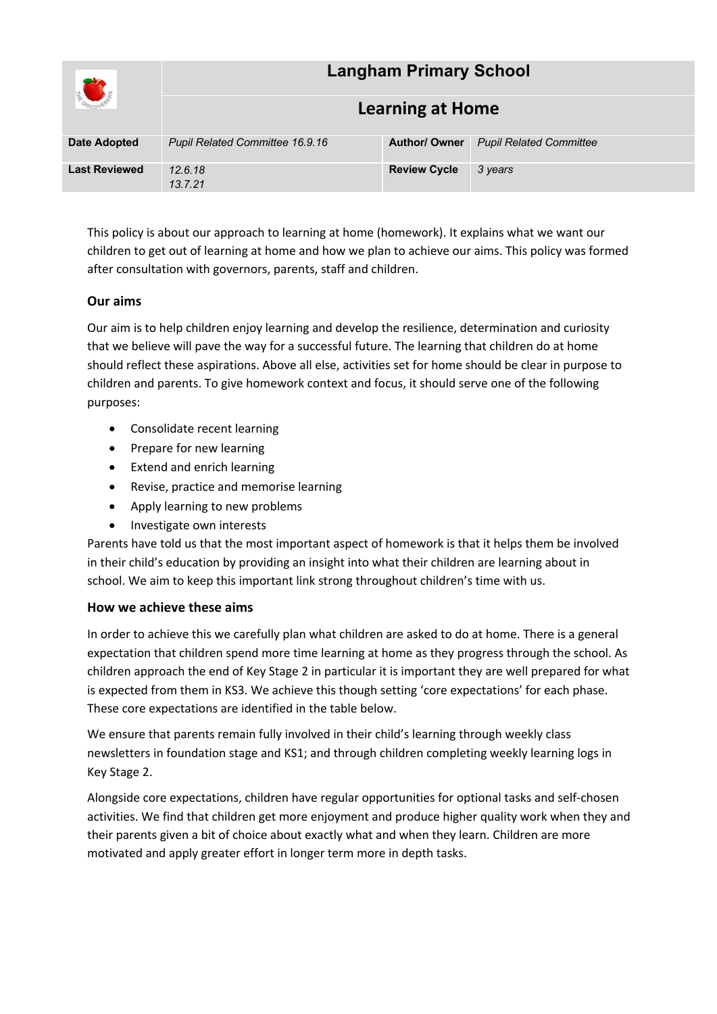| <b>EL CARGO</b>      | <b>Langham Primary School</b>   |                      |                                |  |
|----------------------|---------------------------------|----------------------|--------------------------------|--|
|                      | <b>Learning at Home</b>         |                      |                                |  |
| <b>Date Adopted</b>  | Pupil Related Committee 16.9.16 | <b>Author/ Owner</b> | <b>Pupil Related Committee</b> |  |
| <b>Last Reviewed</b> | 12.6.18<br>13.7.21              | <b>Review Cycle</b>  | 3 years                        |  |

This policy is about our approach to learning at home (homework). It explains what we want our children to get out of learning at home and how we plan to achieve our aims. This policy was formed after consultation with governors, parents, staff and children.

# **Our aims**

Our aim is to help children enjoy learning and develop the resilience, determination and curiosity that we believe will pave the way for a successful future. The learning that children do at home should reflect these aspirations. Above all else, activities set for home should be clear in purpose to children and parents. To give homework context and focus, it should serve one of the following purposes:

- Consolidate recent learning
- Prepare for new learning
- Extend and enrich learning
- Revise, practice and memorise learning
- Apply learning to new problems
- Investigate own interests

Parents have told us that the most important aspect of homework is that it helps them be involved in their child's education by providing an insight into what their children are learning about in school. We aim to keep this important link strong throughout children's time with us.

## **How we achieve these aims**

In order to achieve this we carefully plan what children are asked to do at home. There is a general expectation that children spend more time learning at home as they progress through the school. As children approach the end of Key Stage 2 in particular it is important they are well prepared for what is expected from them in KS3. We achieve this though setting 'core expectations' for each phase. These core expectations are identified in the table below.

We ensure that parents remain fully involved in their child's learning through weekly class newsletters in foundation stage and KS1; and through children completing weekly learning logs in Key Stage 2.

Alongside core expectations, children have regular opportunities for optional tasks and self-chosen activities. We find that children get more enjoyment and produce higher quality work when they and their parents given a bit of choice about exactly what and when they learn. Children are more motivated and apply greater effort in longer term more in depth tasks.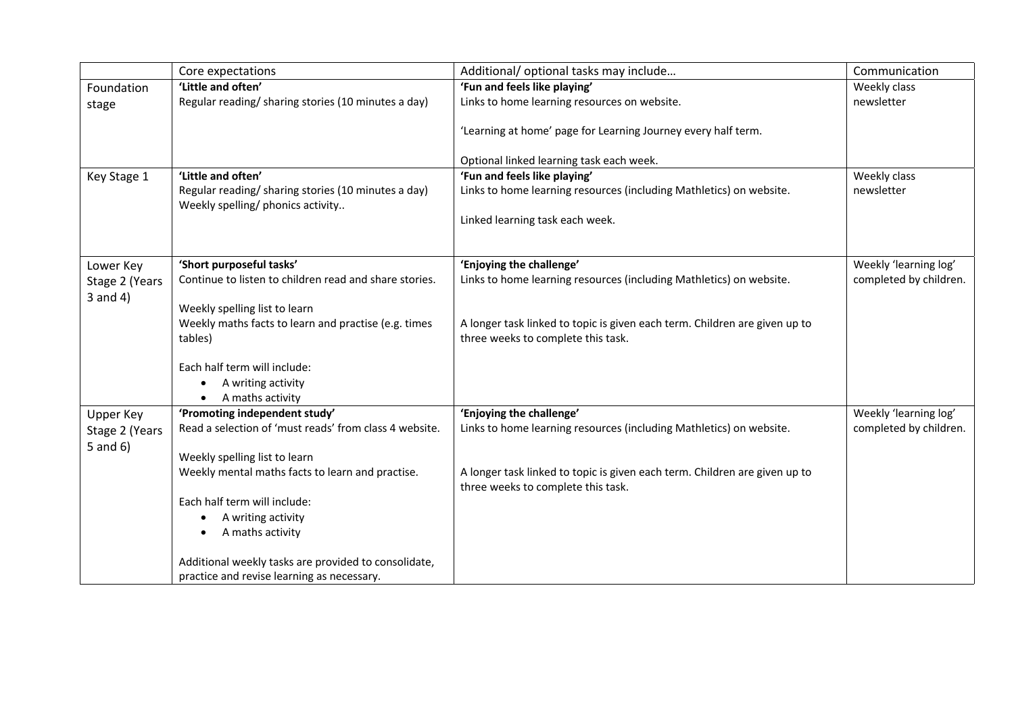|                | Core expectations                                                                       | Additional/ optional tasks may include                                                                    | Communication          |
|----------------|-----------------------------------------------------------------------------------------|-----------------------------------------------------------------------------------------------------------|------------------------|
| Foundation     | 'Little and often'                                                                      | 'Fun and feels like playing'                                                                              | Weekly class           |
| stage          | Regular reading/ sharing stories (10 minutes a day)                                     | Links to home learning resources on website.                                                              | newsletter             |
|                |                                                                                         | 'Learning at home' page for Learning Journey every half term.<br>Optional linked learning task each week. |                        |
| Key Stage 1    | 'Little and often'                                                                      | 'Fun and feels like playing'                                                                              | Weekly class           |
|                | Regular reading/sharing stories (10 minutes a day)<br>Weekly spelling/ phonics activity | Links to home learning resources (including Mathletics) on website.                                       | newsletter             |
|                |                                                                                         | Linked learning task each week.                                                                           |                        |
|                |                                                                                         |                                                                                                           |                        |
| Lower Key      | 'Short purposeful tasks'                                                                | 'Enjoying the challenge'                                                                                  | Weekly 'learning log'  |
| Stage 2 (Years | Continue to listen to children read and share stories.                                  | Links to home learning resources (including Mathletics) on website.                                       | completed by children. |
| $3$ and $4)$   |                                                                                         |                                                                                                           |                        |
|                | Weekly spelling list to learn<br>Weekly maths facts to learn and practise (e.g. times   | A longer task linked to topic is given each term. Children are given up to                                |                        |
|                | tables)                                                                                 | three weeks to complete this task.                                                                        |                        |
|                | Each half term will include:                                                            |                                                                                                           |                        |
|                | A writing activity                                                                      |                                                                                                           |                        |
|                | A maths activity<br>$\bullet$                                                           |                                                                                                           |                        |
| Upper Key      | 'Promoting independent study'                                                           | 'Enjoying the challenge'                                                                                  | Weekly 'learning log'  |
| Stage 2 (Years | Read a selection of 'must reads' from class 4 website.                                  | Links to home learning resources (including Mathletics) on website.                                       | completed by children. |
| $5$ and $6$ )  | Weekly spelling list to learn                                                           |                                                                                                           |                        |
|                | Weekly mental maths facts to learn and practise.                                        | A longer task linked to topic is given each term. Children are given up to                                |                        |
|                |                                                                                         | three weeks to complete this task.                                                                        |                        |
|                | Each half term will include:                                                            |                                                                                                           |                        |
|                | A writing activity<br>٠                                                                 |                                                                                                           |                        |
|                | A maths activity                                                                        |                                                                                                           |                        |
|                | Additional weekly tasks are provided to consolidate,                                    |                                                                                                           |                        |
|                | practice and revise learning as necessary.                                              |                                                                                                           |                        |